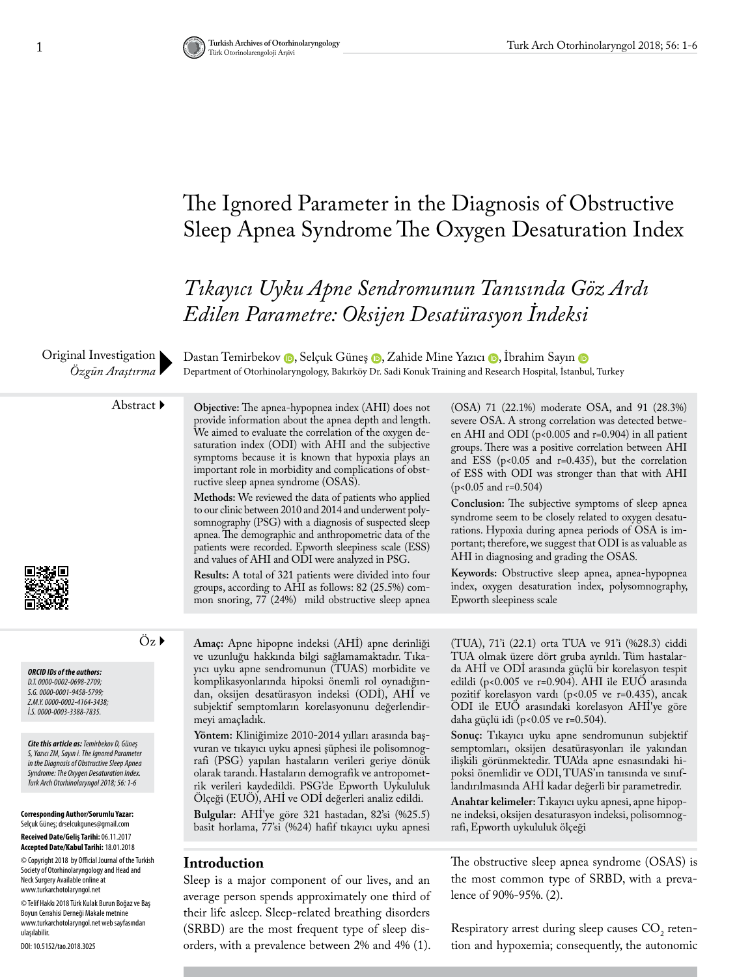## The Ignored Parameter in the Diagnosis of Obstructive Sleep Apnea Syndrome The Oxygen Desaturation Index

*Tıkayıcı Uyku Apne Sendromunun Tanısında Göz Ardı Edilen Parametre: Oksijen Desatürasyon İndeksi*

Original Investigation *Özgün Araştırma*

DastanTemirbekov (D. Selçuk Güneş (D. Zahide Mine Yazıcı (D. Ibrahim Sayın (D Department of Otorhinolaryngology, Bakırköy Dr. Sadi Konuk Training and Research Hospital, İstanbul, Turkey

Abstract **Objective:** The apnea-hypopnea index (AHI) does not provide information about the apnea depth and length. We aimed to evaluate the correlation of the oxygen desaturation index (ODI) with AHI and the subjective symptoms because it is known that hypoxia plays an important role in morbidity and complications of obstructive sleep apnea syndrome (OSAS).

**Methods:** We reviewed the data of patients who applied to our clinic between 2010 and 2014 and underwent polysomnography (PSG) with a diagnosis of suspected sleep apnea. The demographic and anthropometric data of the patients were recorded. Epworth sleepiness scale (ESS) and values of AHI and ODI were analyzed in PSG.

**Results:** A total of 321 patients were divided into four groups, according to AHI as follows: 82 (25.5%) common snoring, 77 (24%) mild obstructive sleep apnea (OSA) 71 (22.1%) moderate OSA, and 91 (28.3%) severe OSA. A strong correlation was detected between AHI and ODI (p<0.005 and r=0.904) in all patient groups. There was a positive correlation between AHI and ESS ( $p<0.05$  and  $r=0.435$ ), but the correlation of ESS with ODI was stronger than that with AHI  $(p<0.05$  and r=0.504)

**Conclusion:** The subjective symptoms of sleep apnea syndrome seem to be closely related to oxygen desaturations. Hypoxia during apnea periods of OSA is important; therefore, we suggest that ODI is as valuable as AHI in diagnosing and grading the OSAS.

**Keywords:** Obstructive sleep apnea, apnea-hypopnea index, oxygen desaturation index, polysomnography, Epworth sleepiness scale

*ORCID IDs of the authors: D.T. 0000-0002-0698-2709; S.G. 0000-0001-9458-5799; Z.M.Y. 0000-0002-4164-3438; İ.S. 0000-0003-3388-7835.*

*Cite this article as: Temirbekov D, Güneş S, Yazıcı ZM, Sayın i. The Ignored Parameter in the Diagnosis of Obstructive Sleep Apnea Syndrome: The Oxygen Desaturation Index. Turk Arch Otorhinolaryngol 2018; 56: 1-6*

**Corresponding Author/Sorumlu Yazar:**  Selçuk Güneş; drselcukgunes@gmail.com **Received Date/Geliş Tarihi:** 06.11.2017 **Accepted Date/Kabul Tarihi:** 18.01.2018

© Copyright 2018 by Official Journal of the Turkish Society of Otorhinolaryngology and Head and Neck Surgery Available online at www.turkarchotolaryngol.net

© Telif Hakkı 2018 Türk Kulak Burun Boğaz ve Baş Boyun Cerrahisi Derneği Makale metnine www.turkarchotolaryngol.net web sayfasından ulaşılabilir.

DOI: 10.5152/tao.2018.3025

Öz **Amaç:** Apne hipopne indeksi (AHİ) apne derinliği ve uzunluğu hakkında bilgi sağlamamaktadır. Tıkayıcı uyku apne sendromunun (TUAS) morbidite ve komplikasyonlarında hipoksi önemli rol oynadığından, oksijen desatürasyon indeksi (ODİ), AHİ ve subjektif semptomların korelasyonunu değerlendirmeyi amaçladık.

> **Yöntem:** Kliniğimize 2010-2014 yılları arasında başvuran ve tıkayıcı uyku apnesi şüphesi ile polisomnografi (PSG) yapılan hastaların verileri geriye dönük olarak tarandı. Hastaların demografik ve antropometrik verileri kaydedildi. PSG'de Epworth Uykululuk Ölçeği (EUÖ), AHİ ve ODİ değerleri analiz edildi.

> **Bulgular:** AHİ'ye göre 321 hastadan, 82'si (%25.5) basit horlama, 77'si (%24) hafif tıkayıcı uyku apnesi

### **Introduction**

Sleep is a major component of our lives, and an average person spends approximately one third of their life asleep. Sleep-related breathing disorders (SRBD) are the most frequent type of sleep disorders, with a prevalence between 2% and 4% (1).

(TUA), 71'i (22.1) orta TUA ve 91'i (%28.3) ciddi TUA olmak üzere dört gruba ayrıldı. Tüm hastalarda AHİ ve ODİ arasında güçlü bir korelasyon tespit edildi (p<0.005 ve r=0.904). AHI ile EUÖ arasında pozitif korelasyon vardı (p<0.05 ve r=0.435), ancak ODI ile EUÖ arasındaki korelasyon AHİ'ye göre daha güçlü idi (p<0.05 ve r=0.504).

**Sonuç:** Tıkayıcı uyku apne sendromunun subjektif semptomları, oksijen desatürasyonları ile yakından ilişkili görünmektedir. TUA'da apne esnasındaki hipoksi önemlidir ve ODI, TUAS'ın tanısında ve sınıflandırılmasında AHİ kadar değerli bir parametredir.

**Anahtar kelimeler:** Tıkayıcı uyku apnesi, apne hipopne indeksi, oksijen desaturasyon indeksi, polisomnografi, Epworth uykululuk ölçeği

The obstructive sleep apnea syndrome (OSAS) is the most common type of SRBD, with a prevalence of 90%-95%. (2).

Respiratory arrest during sleep causes  $CO<sub>2</sub>$  retention and hypoxemia; consequently, the autonomic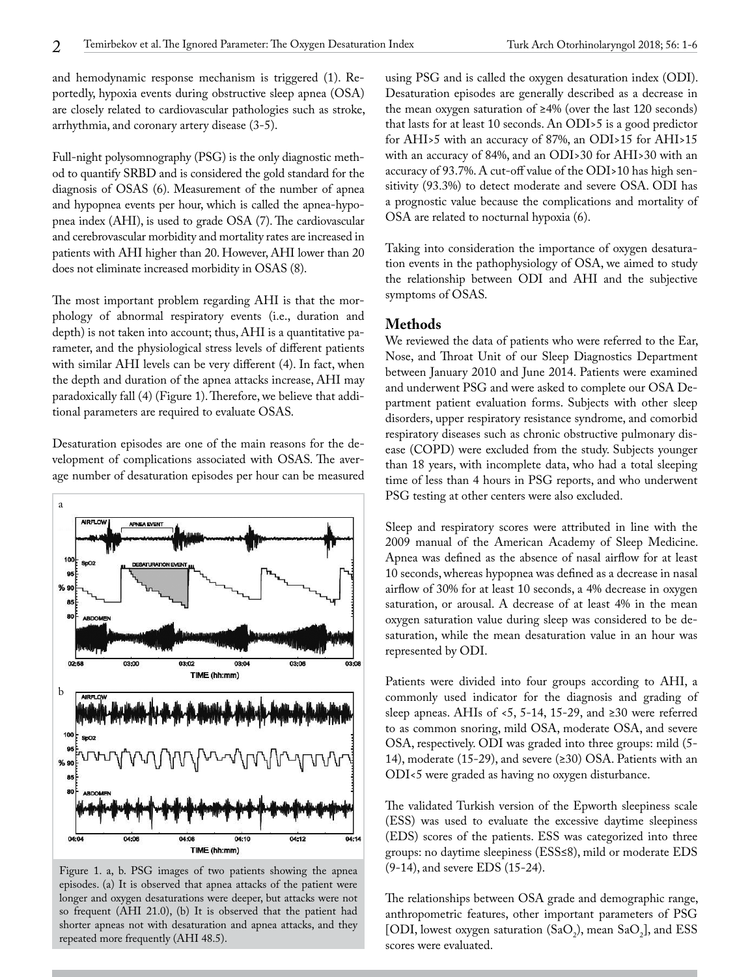and hemodynamic response mechanism is triggered (1). Reportedly, hypoxia events during obstructive sleep apnea (OSA) are closely related to cardiovascular pathologies such as stroke, arrhythmia, and coronary artery disease (3-5).

Full-night polysomnography (PSG) is the only diagnostic method to quantify SRBD and is considered the gold standard for the diagnosis of OSAS (6). Measurement of the number of apnea and hypopnea events per hour, which is called the apnea-hypopnea index (AHI), is used to grade OSA (7). The cardiovascular and cerebrovascular morbidity and mortality rates are increased in patients with AHI higher than 20. However, AHI lower than 20 does not eliminate increased morbidity in OSAS (8).

The most important problem regarding AHI is that the morphology of abnormal respiratory events (i.e., duration and depth) is not taken into account; thus, AHI is a quantitative parameter, and the physiological stress levels of different patients with similar AHI levels can be very different (4). In fact, when the depth and duration of the apnea attacks increase, AHI may paradoxically fall (4) (Figure 1). Therefore, we believe that additional parameters are required to evaluate OSAS.

Desaturation episodes are one of the main reasons for the development of complications associated with OSAS. The average number of desaturation episodes per hour can be measured



Figure 1. a, b. PSG images of two patients showing the apnea episodes. (a) It is observed that apnea attacks of the patient were longer and oxygen desaturations were deeper, but attacks were not so frequent (AHI 21.0), (b) It is observed that the patient had shorter apneas not with desaturation and apnea attacks, and they repeated more frequently (AHI 48.5).

using PSG and is called the oxygen desaturation index (ODI). Desaturation episodes are generally described as a decrease in the mean oxygen saturation of ≥4% (over the last 120 seconds) that lasts for at least 10 seconds. An ODI>5 is a good predictor for AHI>5 with an accuracy of 87%, an ODI>15 for AHI>15 with an accuracy of 84%, and an ODI>30 for AHI>30 with an accuracy of 93.7%. A cut-off value of the ODI>10 has high sensitivity (93.3%) to detect moderate and severe OSA. ODI has a prognostic value because the complications and mortality of OSA are related to nocturnal hypoxia (6).

Taking into consideration the importance of oxygen desaturation events in the pathophysiology of OSA, we aimed to study the relationship between ODI and AHI and the subjective symptoms of OSAS.

## **Methods**

We reviewed the data of patients who were referred to the Ear, Nose, and Throat Unit of our Sleep Diagnostics Department between January 2010 and June 2014. Patients were examined and underwent PSG and were asked to complete our OSA Department patient evaluation forms. Subjects with other sleep disorders, upper respiratory resistance syndrome, and comorbid respiratory diseases such as chronic obstructive pulmonary disease (COPD) were excluded from the study. Subjects younger than 18 years, with incomplete data, who had a total sleeping time of less than 4 hours in PSG reports, and who underwent PSG testing at other centers were also excluded.

Sleep and respiratory scores were attributed in line with the 2009 manual of the American Academy of Sleep Medicine. Apnea was defined as the absence of nasal airflow for at least 10 seconds, whereas hypopnea was defined as a decrease in nasal airflow of 30% for at least 10 seconds, a 4% decrease in oxygen saturation, or arousal. A decrease of at least 4% in the mean oxygen saturation value during sleep was considered to be desaturation, while the mean desaturation value in an hour was represented by ODI.

Patients were divided into four groups according to AHI, a commonly used indicator for the diagnosis and grading of sleep apneas. AHIs of <5, 5-14, 15-29, and ≥30 were referred to as common snoring, mild OSA, moderate OSA, and severe OSA, respectively. ODI was graded into three groups: mild (5- 14), moderate (15-29), and severe (≥30) OSA. Patients with an ODI<5 were graded as having no oxygen disturbance.

The validated Turkish version of the Epworth sleepiness scale (ESS) was used to evaluate the excessive daytime sleepiness (EDS) scores of the patients. ESS was categorized into three groups: no daytime sleepiness (ESS≤8), mild or moderate EDS (9-14), and severe EDS (15-24).

The relationships between OSA grade and demographic range, anthropometric features, other important parameters of PSG [ODI, lowest oxygen saturation  $(SaO_2)$ , mean  $SaO_2$ ], and ESS scores were evaluated.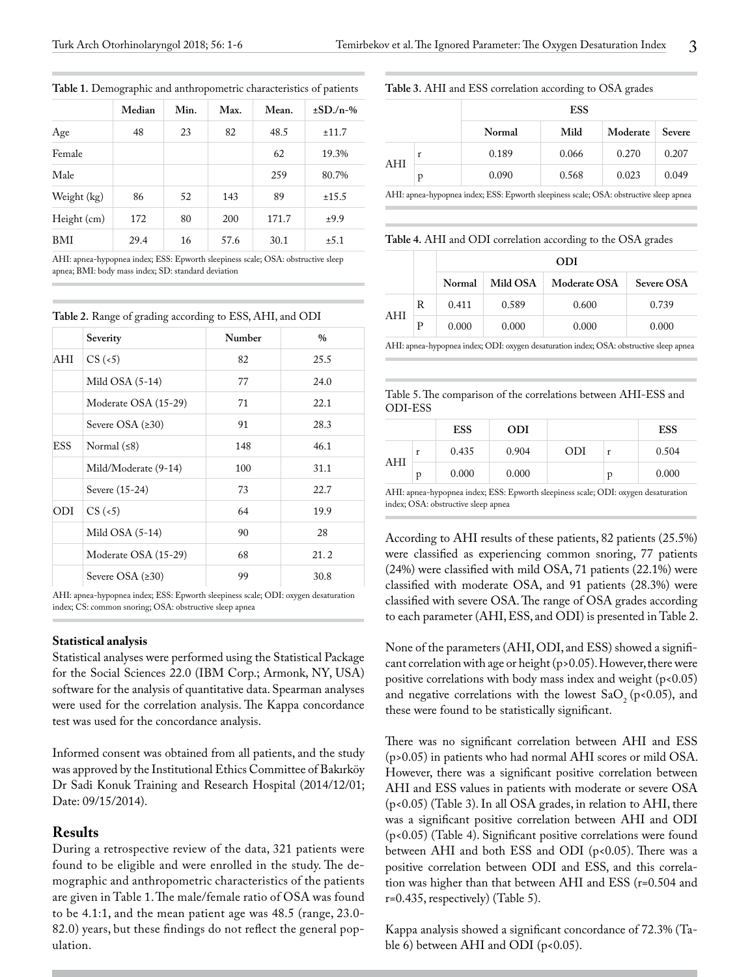|             | Median | Min. | Max. | Mean. | $\pm$ SD./n-% |
|-------------|--------|------|------|-------|---------------|
| Age         | 48     | 23   | 82   | 48.5  | ±11.7         |
| Female      |        |      |      | 62    | 19.3%         |
| Male        |        |      |      | 259   | 80.7%         |
| Weight (kg) | 86     | 52   | 143  | 89    | ±15.5         |
| Height (cm) | 172    | 80   | 200  | 171.7 | ±9.9          |
| BMI         | 29.4   | 16   | 57.6 | 30.1  | ±5.1          |

**Table 1.** Demographic and anthropometric characteristics of patients

AHI: apnea-hypopnea index; ESS: Epworth sleepiness scale; OSA: obstructive sleep apnea; BMI: body mass index; SD: standard deviation

**Table 2.** Range of grading according to ESS, AHI, and ODI

|            | Severity             | Number | $\frac{0}{0}$ |
|------------|----------------------|--------|---------------|
| AHI        | $CS$ (<5)            | 82     | 25.5          |
|            | Mild $OSA (5-14)$    | 77     | 24.0          |
|            | Moderate OSA (15-29) | 71     | 22.1          |
|            | Severe OSA $(≥30)$   | 91     | 28.3          |
| <b>ESS</b> | Normal $(58)$        | 148    | 46.1          |
|            | Mild/Moderate (9-14) | 100    | 31.1          |
|            | Severe (15-24)       | 73     | 22.7          |
| ODI        | $CS$ (<5)            | 64     | 19.9          |
|            | Mild $OSA (5-14)$    | 90     | 28            |
|            | Moderate OSA (15-29) | 68     | 21.2          |
|            | Severe OSA $(230)$   | 99     | 30.8          |

AHI: apnea-hypopnea index; ESS: Epworth sleepiness scale; ODI: oxygen desaturation index; CS: common snoring; OSA: obstructive sleep apnea

#### **Statistical analysis**

Statistical analyses were performed using the Statistical Package for the Social Sciences 22.0 (IBM Corp.; Armonk, NY, USA) software for the analysis of quantitative data. Spearman analyses were used for the correlation analysis. The Kappa concordance test was used for the concordance analysis.

Informed consent was obtained from all patients, and the study was approved by the Institutional Ethics Committee of Bakırköy Dr Sadi Konuk Training and Research Hospital (2014/12/01; Date: 09/15/2014).

### **Results**

During a retrospective review of the data, 321 patients were found to be eligible and were enrolled in the study. The demographic and anthropometric characteristics of the patients are given in Table 1. The male/female ratio of OSA was found to be 4.1:1, and the mean patient age was 48.5 (range, 23.0- 82.0) years, but these findings do not reflect the general population.

#### **Table 3.** AHI and ESS correlation according to OSA grades

|     |   | <b>ESS</b> |       |          |        |  |
|-----|---|------------|-------|----------|--------|--|
|     |   | Normal     | Mild  | Moderate | Severe |  |
|     | r | 0.189      | 0.066 | 0.270    | 0.207  |  |
| AHI | p | 0.090      | 0.568 | 0.023    | 0.049  |  |

AHI: apnea-hypopnea index; ESS: Epworth sleepiness scale; OSA: obstructive sleep apnea

**Table 4.** AHI and ODI correlation according to the OSA grades

|     |   |        |          | ODI          |                   |
|-----|---|--------|----------|--------------|-------------------|
|     |   | Normal | Mild OSA | Moderate OSA | <b>Severe OSA</b> |
|     | R | 0.411  | 0.589    | 0.600        | 0.739             |
| AHI | Р | 0.000  | 0.000    | 0.000        | 0.000             |

AHI: apnea-hypopnea index; ODI: oxygen desaturation index; OSA: obstructive sleep apnea

Table 5. The comparison of the correlations between AHI-ESS and ODI-ESS

|     |   | ESS   | <b>ODI</b> |     |   | <b>ESS</b> |
|-----|---|-------|------------|-----|---|------------|
|     |   | 0.435 | 0.904      | ODI |   | 0.504      |
| AHI | D | 0.000 | 0.000      |     | р | 0.000      |

AHI: apnea-hypopnea index; ESS: Epworth sleepiness scale; ODI: oxygen desaturation index; OSA: obstructive sleep apnea

According to AHI results of these patients, 82 patients (25.5%) were classified as experiencing common snoring, 77 patients (24%) were classified with mild OSA, 71 patients (22.1%) were classified with moderate OSA, and 91 patients (28.3%) were classified with severe OSA. The range of OSA grades according to each parameter (AHI, ESS, and ODI) is presented in Table 2.

None of the parameters (AHI, ODI, and ESS) showed a significant correlation with age or height (p>0.05). However, there were positive correlations with body mass index and weight (p<0.05) and negative correlations with the lowest  $SaO<sub>2</sub>$  (p<0.05), and these were found to be statistically significant.

There was no significant correlation between AHI and ESS (p>0.05) in patients who had normal AHI scores or mild OSA. However, there was a significant positive correlation between AHI and ESS values in patients with moderate or severe OSA (p<0.05) (Table 3). In all OSA grades, in relation to AHI, there was a significant positive correlation between AHI and ODI (p<0.05) (Table 4). Significant positive correlations were found between AHI and both ESS and ODI (p<0.05). There was a positive correlation between ODI and ESS, and this correlation was higher than that between AHI and ESS (r=0.504 and r=0.435, respectively) (Table 5).

Kappa analysis showed a significant concordance of 72.3% (Table 6) between AHI and ODI (p<0.05).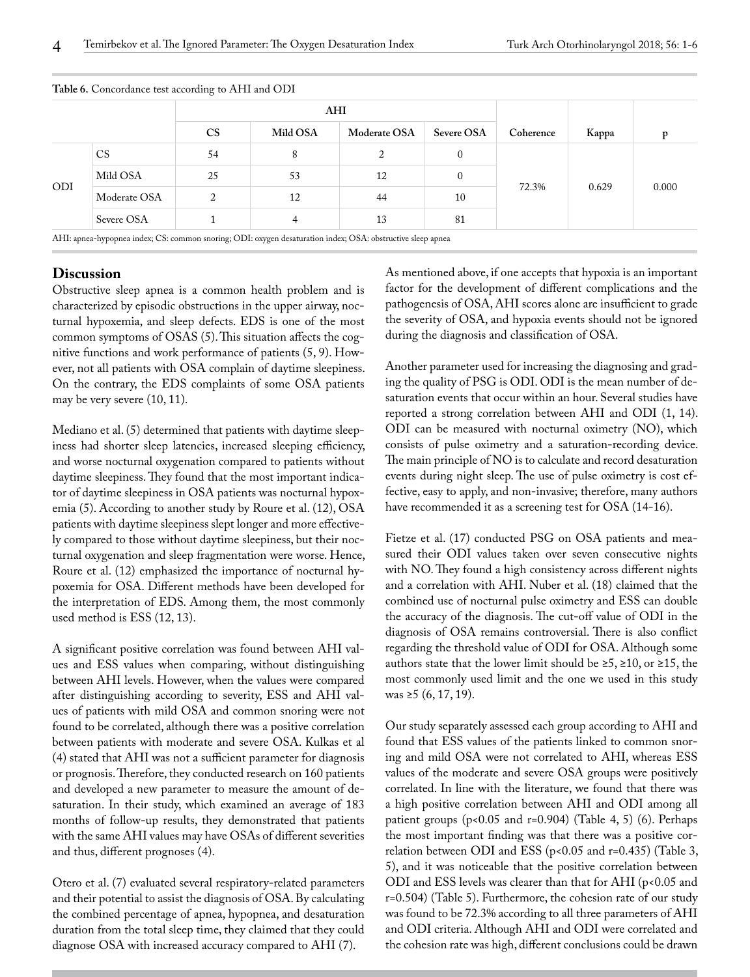|            |              | AHI       |          |              |            |           |       |       |
|------------|--------------|-----------|----------|--------------|------------|-----------|-------|-------|
|            |              | <b>CS</b> | Mild OSA | Moderate OSA | Severe OSA | Coherence | Kappa | D     |
| <b>ODI</b> | <b>CS</b>    | 54        | 8        |              | $\Omega$   | 72.3%     | 0.629 | 0.000 |
|            | Mild OSA     | 25        | 53       | 12           | $\theta$   |           |       |       |
|            | Moderate OSA | 2         | 12       | 44           | 10         |           |       |       |
|            | Severe OSA   |           |          | 13           | 81         |           |       |       |

**Table 6.** Concordance test according to AHI and ODI

#### **Discussion**

Obstructive sleep apnea is a common health problem and is characterized by episodic obstructions in the upper airway, nocturnal hypoxemia, and sleep defects. EDS is one of the most common symptoms of OSAS (5). This situation affects the cognitive functions and work performance of patients (5, 9). However, not all patients with OSA complain of daytime sleepiness. On the contrary, the EDS complaints of some OSA patients may be very severe (10, 11).

Mediano et al. (5) determined that patients with daytime sleepiness had shorter sleep latencies, increased sleeping efficiency, and worse nocturnal oxygenation compared to patients without daytime sleepiness. They found that the most important indicator of daytime sleepiness in OSA patients was nocturnal hypoxemia (5). According to another study by Roure et al. (12), OSA patients with daytime sleepiness slept longer and more effectively compared to those without daytime sleepiness, but their nocturnal oxygenation and sleep fragmentation were worse. Hence, Roure et al. (12) emphasized the importance of nocturnal hypoxemia for OSA. Different methods have been developed for the interpretation of EDS. Among them, the most commonly used method is ESS (12, 13).

A significant positive correlation was found between AHI values and ESS values when comparing, without distinguishing between AHI levels. However, when the values were compared after distinguishing according to severity, ESS and AHI values of patients with mild OSA and common snoring were not found to be correlated, although there was a positive correlation between patients with moderate and severe OSA. Kulkas et al (4) stated that AHI was not a sufficient parameter for diagnosis or prognosis. Therefore, they conducted research on 160 patients and developed a new parameter to measure the amount of desaturation. In their study, which examined an average of 183 months of follow-up results, they demonstrated that patients with the same AHI values may have OSAs of different severities and thus, different prognoses (4).

Otero et al. (7) evaluated several respiratory-related parameters and their potential to assist the diagnosis of OSA. By calculating the combined percentage of apnea, hypopnea, and desaturation duration from the total sleep time, they claimed that they could diagnose OSA with increased accuracy compared to AHI (7).

As mentioned above, if one accepts that hypoxia is an important factor for the development of different complications and the pathogenesis of OSA, AHI scores alone are insufficient to grade the severity of OSA, and hypoxia events should not be ignored during the diagnosis and classification of OSA.

Another parameter used for increasing the diagnosing and grading the quality of PSG is ODI. ODI is the mean number of desaturation events that occur within an hour. Several studies have reported a strong correlation between AHI and ODI (1, 14). ODI can be measured with nocturnal oximetry (NO), which consists of pulse oximetry and a saturation-recording device. The main principle of NO is to calculate and record desaturation events during night sleep. The use of pulse oximetry is cost effective, easy to apply, and non-invasive; therefore, many authors have recommended it as a screening test for OSA (14-16).

Fietze et al. (17) conducted PSG on OSA patients and measured their ODI values taken over seven consecutive nights with NO. They found a high consistency across different nights and a correlation with AHI. Nuber et al. (18) claimed that the combined use of nocturnal pulse oximetry and ESS can double the accuracy of the diagnosis. The cut-off value of ODI in the diagnosis of OSA remains controversial. There is also conflict regarding the threshold value of ODI for OSA. Although some authors state that the lower limit should be  $\ge 5$ ,  $\ge 10$ , or  $\ge 15$ , the most commonly used limit and the one we used in this study was ≥5  $(6, 17, 19)$ .

Our study separately assessed each group according to AHI and found that ESS values of the patients linked to common snoring and mild OSA were not correlated to AHI, whereas ESS values of the moderate and severe OSA groups were positively correlated. In line with the literature, we found that there was a high positive correlation between AHI and ODI among all patient groups ( $p$ <0.05 and  $r$ =0.904) (Table 4, 5) (6). Perhaps the most important finding was that there was a positive correlation between ODI and ESS (p<0.05 and r=0.435) (Table 3, 5), and it was noticeable that the positive correlation between ODI and ESS levels was clearer than that for AHI (p<0.05 and r=0.504) (Table 5). Furthermore, the cohesion rate of our study was found to be 72.3% according to all three parameters of AHI and ODI criteria. Although AHI and ODI were correlated and the cohesion rate was high, different conclusions could be drawn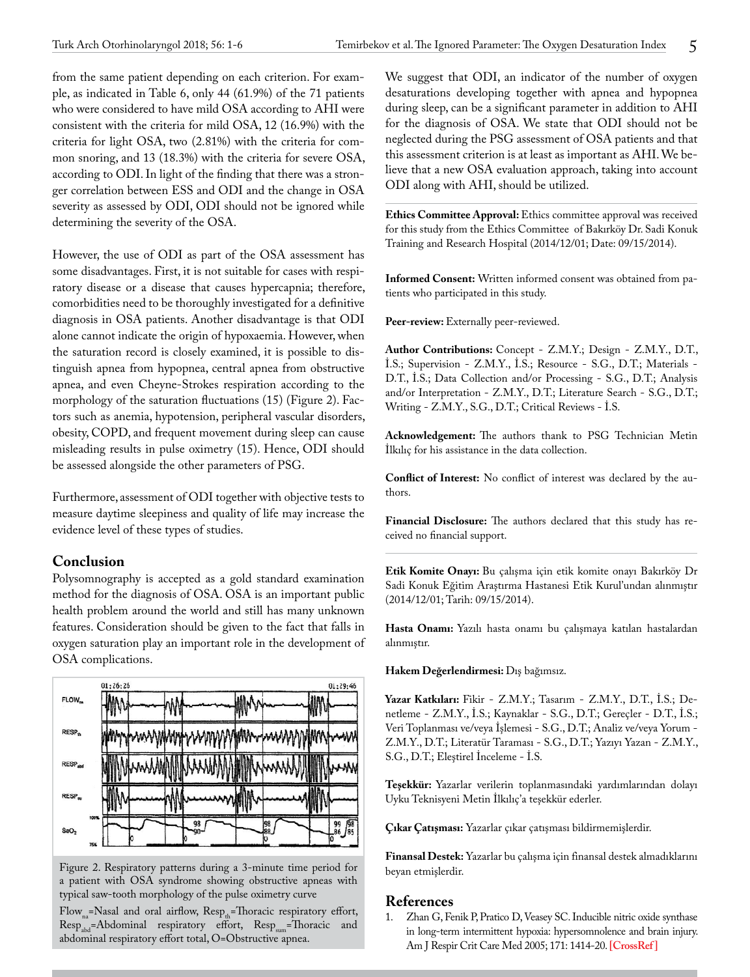from the same patient depending on each criterion. For example, as indicated in Table 6, only 44 (61.9%) of the 71 patients who were considered to have mild OSA according to AHI were consistent with the criteria for mild OSA, 12 (16.9%) with the criteria for light OSA, two (2.81%) with the criteria for common snoring, and 13 (18.3%) with the criteria for severe OSA, according to ODI. In light of the finding that there was a stronger correlation between ESS and ODI and the change in OSA severity as assessed by ODI, ODI should not be ignored while determining the severity of the OSA.

However, the use of ODI as part of the OSA assessment has some disadvantages. First, it is not suitable for cases with respiratory disease or a disease that causes hypercapnia; therefore, comorbidities need to be thoroughly investigated for a definitive diagnosis in OSA patients. Another disadvantage is that ODI alone cannot indicate the origin of hypoxaemia. However, when the saturation record is closely examined, it is possible to distinguish apnea from hypopnea, central apnea from obstructive apnea, and even Cheyne-Strokes respiration according to the morphology of the saturation fluctuations (15) (Figure 2). Factors such as anemia, hypotension, peripheral vascular disorders, obesity, COPD, and frequent movement during sleep can cause misleading results in pulse oximetry (15). Hence, ODI should be assessed alongside the other parameters of PSG.

Furthermore, assessment of ODI together with objective tests to measure daytime sleepiness and quality of life may increase the evidence level of these types of studies.

## **Conclusion**

Polysomnography is accepted as a gold standard examination method for the diagnosis of OSA. OSA is an important public health problem around the world and still has many unknown features. Consideration should be given to the fact that falls in oxygen saturation play an important role in the development of OSA complications.



Figure 2. Respiratory patterns during a 3-minute time period for a patient with OSA syndrome showing obstructive apneas with typical saw-tooth morphology of the pulse oximetry curve

Flow<sub>na</sub>=Nasal and oral airflow, Resp<sub>th</sub>=Thoracic respiratory effort, Resp<sub>abd</sub>=Abdominal respiratory effort, Resp<sub>sum</sub>=Thoracic and abdominal respiratory effort total, O=Obstructive apnea.

We suggest that ODI, an indicator of the number of oxygen desaturations developing together with apnea and hypopnea during sleep, can be a significant parameter in addition to AHI for the diagnosis of OSA. We state that ODI should not be neglected during the PSG assessment of OSA patients and that this assessment criterion is at least as important as AHI. We believe that a new OSA evaluation approach, taking into account ODI along with AHI, should be utilized.

**Ethics Committee Approval:** Ethics committee approval was received for this study from the Ethics Committee of Bakırköy Dr. Sadi Konuk Training and Research Hospital (2014/12/01; Date: 09/15/2014).

**Informed Consent:** Written informed consent was obtained from patients who participated in this study.

Peer-review: Externally peer-reviewed.

**Author Contributions:** Concept - Z.M.Y.; Design - Z.M.Y., D.T., İ.S.; Supervision - Z.M.Y., İ.S.; Resource - S.G., D.T.; Materials - D.T., İ.S.; Data Collection and/or Processing - S.G., D.T.; Analysis and/or Interpretation - Z.M.Y., D.T.; Literature Search - S.G., D.T.; Writing - Z.M.Y., S.G., D.T.; Critical Reviews - İ.S.

**Acknowledgement:** The authors thank to PSG Technician Metin İlkılıç for his assistance in the data collection.

**Conflict of Interest:** No conflict of interest was declared by the authors.

**Financial Disclosure:** The authors declared that this study has received no financial support.

**Etik Komite Onayı:** Bu çalışma için etik komite onayı Bakırköy Dr Sadi Konuk Eğitim Araştırma Hastanesi Etik Kurul'undan alınmıştır (2014/12/01; Tarih: 09/15/2014).

**Hasta Onamı:** Yazılı hasta onamı bu çalışmaya katılan hastalardan alınmıştır.

**Hakem Değerlendirmesi:** Dış bağımsız.

**Yazar Katkıları:** Fikir - Z.M.Y.; Tasarım - Z.M.Y., D.T., İ.S.; Denetleme - Z.M.Y., İ.S.; Kaynaklar - S.G., D.T.; Gereçler - D.T., İ.S.; Veri Toplanması ve/veya İşlemesi - S.G., D.T.; Analiz ve/veya Yorum - Z.M.Y., D.T.; Literatür Taraması - S.G., D.T.; Yazıyı Yazan - Z.M.Y., S.G., D.T.; Eleştirel İnceleme - İ.S.

**Teşekkür:** Yazarlar verilerin toplanmasındaki yardımlarından dolayı Uyku Teknisyeni Metin İlkılıç'a teşekkür ederler.

**Çıkar Çatışması:** Yazarlar çıkar çatışması bildirmemişlerdir.

**Finansal Destek:** Yazarlar bu çalışma için finansal destek almadıklarını beyan etmişlerdir.

# **References**<br>1. Zhan G. Fe

Zhan G, Fenik P, Pratico D, Veasey SC. Inducible nitric oxide synthase in long-term intermittent hypoxia: hypersomnolence and brain injury. Am J Respir Crit Care Med 2005; 171: 1414-20. **[\[CrossRef\]](https://doi.org/10.1164/rccm.200411-1564OC)**